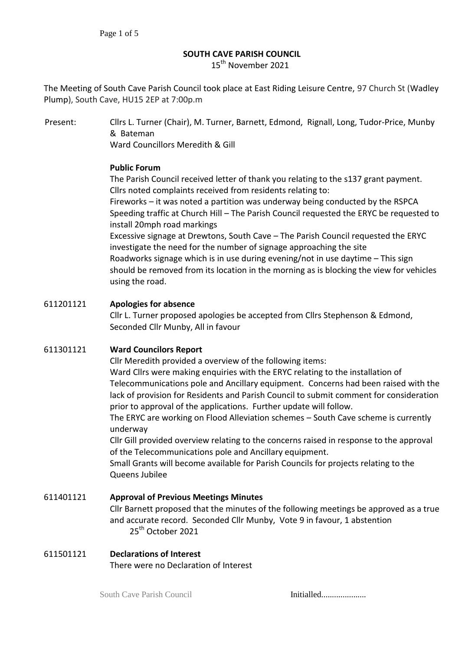#### **SOUTH CAVE PARISH COUNCIL**

15<sup>th</sup> November 2021

The Meeting of South Cave Parish Council took place at East Riding Leisure Centre, 97 Church St (Wadley Plump), South Cave, HU15 2EP at 7:00p.m

Present: Cllrs L. Turner (Chair), M. Turner, Barnett, Edmond, Rignall, Long, Tudor-Price, Munby & Bateman

Ward Councillors Meredith & Gill

### **Public Forum**

The Parish Council received letter of thank you relating to the s137 grant payment. Cllrs noted complaints received from residents relating to:

Fireworks – it was noted a partition was underway being conducted by the RSPCA Speeding traffic at Church Hill – The Parish Council requested the ERYC be requested to install 20mph road markings

Excessive signage at Drewtons, South Cave – The Parish Council requested the ERYC investigate the need for the number of signage approaching the site Roadworks signage which is in use during evening/not in use daytime – This sign should be removed from its location in the morning as is blocking the view for vehicles using the road.

### 611201121 **Apologies for absence**

Cllr L. Turner proposed apologies be accepted from Cllrs Stephenson & Edmond, Seconded Cllr Munby, All in favour

### 611301121 **Ward Councilors Report**

Cllr Meredith provided a overview of the following items:

Ward Cllrs were making enquiries with the ERYC relating to the installation of Telecommunications pole and Ancillary equipment. Concerns had been raised with the lack of provision for Residents and Parish Council to submit comment for consideration prior to approval of the applications. Further update will follow.

The ERYC are working on Flood Alleviation schemes – South Cave scheme is currently underway

Cllr Gill provided overview relating to the concerns raised in response to the approval of the Telecommunications pole and Ancillary equipment.

Small Grants will become available for Parish Councils for projects relating to the Queens Jubilee

# 611401121 **Approval of Previous Meetings Minutes**  Cllr Barnett proposed that the minutes of the following meetings be approved as a true and accurate record. Seconded Cllr Munby, Vote 9 in favour, 1 abstention 25<sup>th</sup> October 2021

#### 611501121 **Declarations of Interest** There were no Declaration of Interest

South Cave Parish Council **Initialled..................**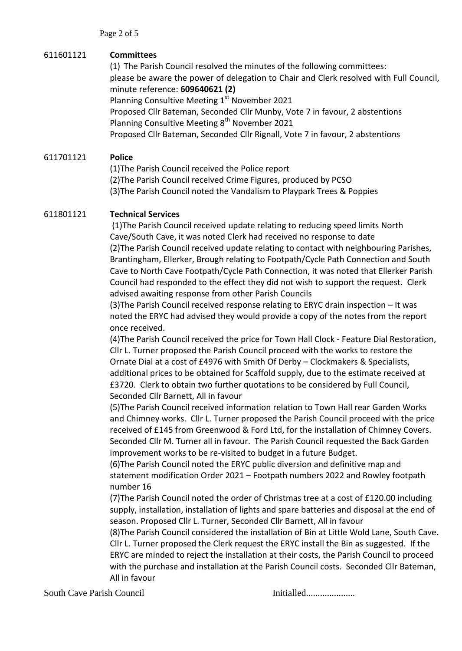### 611601121 **Committees**

(1) The Parish Council resolved the minutes of the following committees: please be aware the power of delegation to Chair and Clerk resolved with Full Council, minute reference: **609640621 (2)** Planning Consultive Meeting 1<sup>st</sup> November 2021

Proposed Cllr Bateman, Seconded Cllr Munby, Vote 7 in favour, 2 abstentions Planning Consultive Meeting 8<sup>th</sup> November 2021

Proposed Cllr Bateman, Seconded Cllr Rignall, Vote 7 in favour, 2 abstentions

### 611701121 **Police**

(1)The Parish Council received the Police report (2)The Parish Council received Crime Figures, produced by PCSO (3)The Parish Council noted the Vandalism to Playpark Trees & Poppies

### 611801121 **Technical Services**

(1)The Parish Council received update relating to reducing speed limits North Cave/South Cave, it was noted Clerk had received no response to date (2)The Parish Council received update relating to contact with neighbouring Parishes, Brantingham, Ellerker, Brough relating to Footpath/Cycle Path Connection and South Cave to North Cave Footpath/Cycle Path Connection, it was noted that Ellerker Parish Council had responded to the effect they did not wish to support the request. Clerk advised awaiting response from other Parish Councils

(3)The Parish Council received response relating to ERYC drain inspection – It was noted the ERYC had advised they would provide a copy of the notes from the report once received.

(4)The Parish Council received the price for Town Hall Clock - Feature Dial Restoration, Cllr L. Turner proposed the Parish Council proceed with the works to restore the Ornate Dial at a cost of £4976 with Smith Of Derby – Clockmakers & Specialists, additional prices to be obtained for Scaffold supply, due to the estimate received at £3720. Clerk to obtain two further quotations to be considered by Full Council, Seconded Cllr Barnett, All in favour

(5)The Parish Council received information relation to Town Hall rear Garden Works and Chimney works. Cllr L. Turner proposed the Parish Council proceed with the price received of £145 from Greenwood & Ford Ltd, for the installation of Chimney Covers. Seconded Cllr M. Turner all in favour. The Parish Council requested the Back Garden improvement works to be re-visited to budget in a future Budget.

(6)The Parish Council noted the ERYC public diversion and definitive map and statement modification Order 2021 – Footpath numbers 2022 and Rowley footpath number 16

(7)The Parish Council noted the order of Christmas tree at a cost of £120.00 including supply, installation, installation of lights and spare batteries and disposal at the end of season. Proposed Cllr L. Turner, Seconded Cllr Barnett, All in favour

(8)The Parish Council considered the installation of Bin at Little Wold Lane, South Cave. Cllr L. Turner proposed the Clerk request the ERYC install the Bin as suggested. If the ERYC are minded to reject the installation at their costs, the Parish Council to proceed with the purchase and installation at the Parish Council costs. Seconded Cllr Bateman, All in favour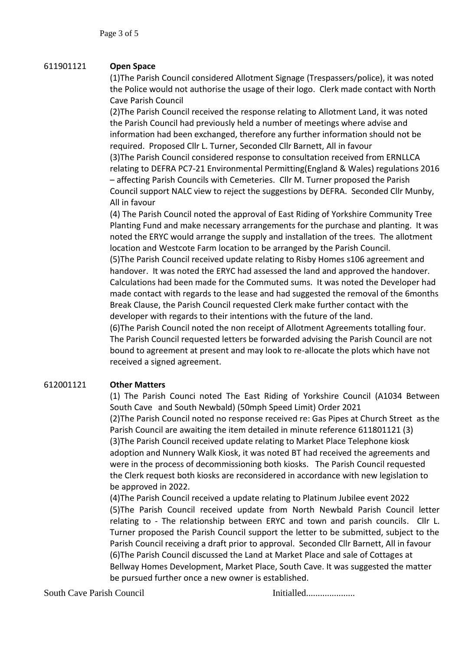### 611901121 **Open Space**

(1)The Parish Council considered Allotment Signage (Trespassers/police), it was noted the Police would not authorise the usage of their logo. Clerk made contact with North Cave Parish Council

(2)The Parish Council received the response relating to Allotment Land, it was noted the Parish Council had previously held a number of meetings where advise and information had been exchanged, therefore any further information should not be required. Proposed Cllr L. Turner, Seconded Cllr Barnett, All in favour (3)The Parish Council considered response to consultation received from ERNLLCA relating to DEFRA PC7-21 Environmental Permitting(England & Wales) regulations 2016 – affecting Parish Councils with Cemeteries. Cllr M. Turner proposed the Parish Council support NALC view to reject the suggestions by DEFRA. Seconded Cllr Munby, All in favour

(4) The Parish Council noted the approval of East Riding of Yorkshire Community Tree Planting Fund and make necessary arrangements for the purchase and planting. It was noted the ERYC would arrange the supply and installation of the trees. The allotment location and Westcote Farm location to be arranged by the Parish Council.

(5)The Parish Council received update relating to Risby Homes s106 agreement and handover. It was noted the ERYC had assessed the land and approved the handover. Calculations had been made for the Commuted sums. It was noted the Developer had made contact with regards to the lease and had suggested the removal of the 6months Break Clause, the Parish Council requested Clerk make further contact with the developer with regards to their intentions with the future of the land.

(6)The Parish Council noted the non receipt of Allotment Agreements totalling four. The Parish Council requested letters be forwarded advising the Parish Council are not bound to agreement at present and may look to re-allocate the plots which have not received a signed agreement.

### 612001121 **Other Matters**

(1) The Parish Counci noted The East Riding of Yorkshire Council (A1034 Between South Cave and South Newbald) (50mph Speed Limit) Order 2021 (2)The Parish Council noted no response received re: Gas Pipes at Church Street as the Parish Council are awaiting the item detailed in minute reference 611801121 (3) (3)The Parish Council received update relating to Market Place Telephone kiosk adoption and Nunnery Walk Kiosk, it was noted BT had received the agreements and were in the process of decommissioning both kiosks. The Parish Council requested the Clerk request both kiosks are reconsidered in accordance with new legislation to be approved in 2022.

(4)The Parish Council received a update relating to Platinum Jubilee event 2022 (5)The Parish Council received update from North Newbald Parish Council letter relating to - The relationship between ERYC and town and parish councils. Cllr L. Turner proposed the Parish Council support the letter to be submitted, subject to the Parish Council receiving a draft prior to approval. Seconded Cllr Barnett, All in favour (6)The Parish Council discussed the Land at Market Place and sale of Cottages at Bellway Homes Development, Market Place, South Cave. It was suggested the matter be pursued further once a new owner is established.

South Cave Parish Council **Initialled..................**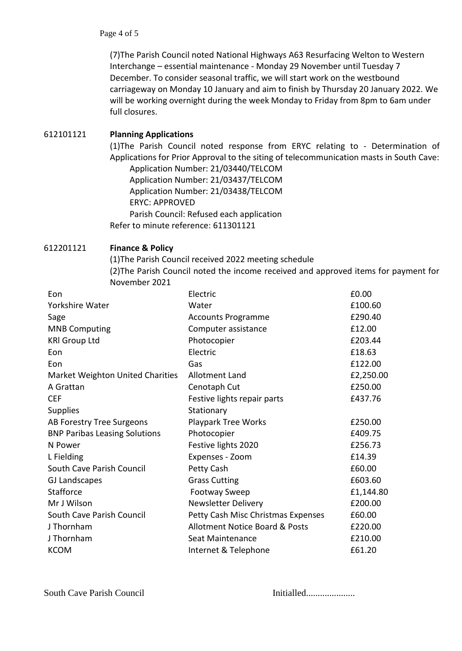(7)The Parish Council noted National Highways A63 Resurfacing Welton to Western Interchange – essential maintenance - Monday 29 November until Tuesday 7 December. To consider seasonal traffic, we will start work on the westbound carriageway on Monday 10 January and aim to finish by Thursday 20 January 2022. We will be working overnight during the week Monday to Friday from 8pm to 6am under full closures.

### 612101121 **Planning Applications**

(1)The Parish Council noted response from ERYC relating to - Determination of Applications for Prior Approval to the siting of telecommunication masts in South Cave:

Application Number: 21/03440/TELCOM Application Number: 21/03437/TELCOM Application Number: 21/03438/TELCOM ERYC: APPROVED Parish Council: Refused each application Refer to minute reference: 611301121

### 612201121 **Finance & Policy**

(1)The Parish Council received 2022 meeting schedule (2)The Parish Council noted the income received and approved items for payment for November 2021

| Eon                                     | Electric                                  | £0.00     |
|-----------------------------------------|-------------------------------------------|-----------|
| Yorkshire Water                         | Water                                     | £100.60   |
| Sage                                    | <b>Accounts Programme</b>                 | £290.40   |
| <b>MNB Computing</b>                    | Computer assistance                       | £12.00    |
| <b>KRI Group Ltd</b>                    | Photocopier                               | £203.44   |
| Eon                                     | Electric                                  | £18.63    |
| Eon                                     | Gas                                       | £122.00   |
| <b>Market Weighton United Charities</b> | <b>Allotment Land</b>                     | £2,250.00 |
| A Grattan                               | Cenotaph Cut                              | £250.00   |
| <b>CEF</b>                              | Festive lights repair parts               | £437.76   |
| <b>Supplies</b>                         | Stationary                                |           |
| AB Forestry Tree Surgeons               | <b>Playpark Tree Works</b>                | £250.00   |
| <b>BNP Paribas Leasing Solutions</b>    | Photocopier                               | £409.75   |
| N Power                                 | Festive lights 2020                       | £256.73   |
| L Fielding                              | Expenses - Zoom                           | £14.39    |
| South Cave Parish Council               | Petty Cash                                | £60.00    |
| <b>GJ Landscapes</b>                    | <b>Grass Cutting</b>                      | £603.60   |
| <b>Stafforce</b>                        | <b>Footway Sweep</b>                      | £1,144.80 |
| Mr J Wilson                             | Newsletter Delivery                       | £200.00   |
| South Cave Parish Council               | Petty Cash Misc Christmas Expenses        | £60.00    |
| J Thornham                              | <b>Allotment Notice Board &amp; Posts</b> | £220.00   |
| J Thornham                              | Seat Maintenance                          | £210.00   |
| <b>KCOM</b>                             | Internet & Telephone                      | £61.20    |